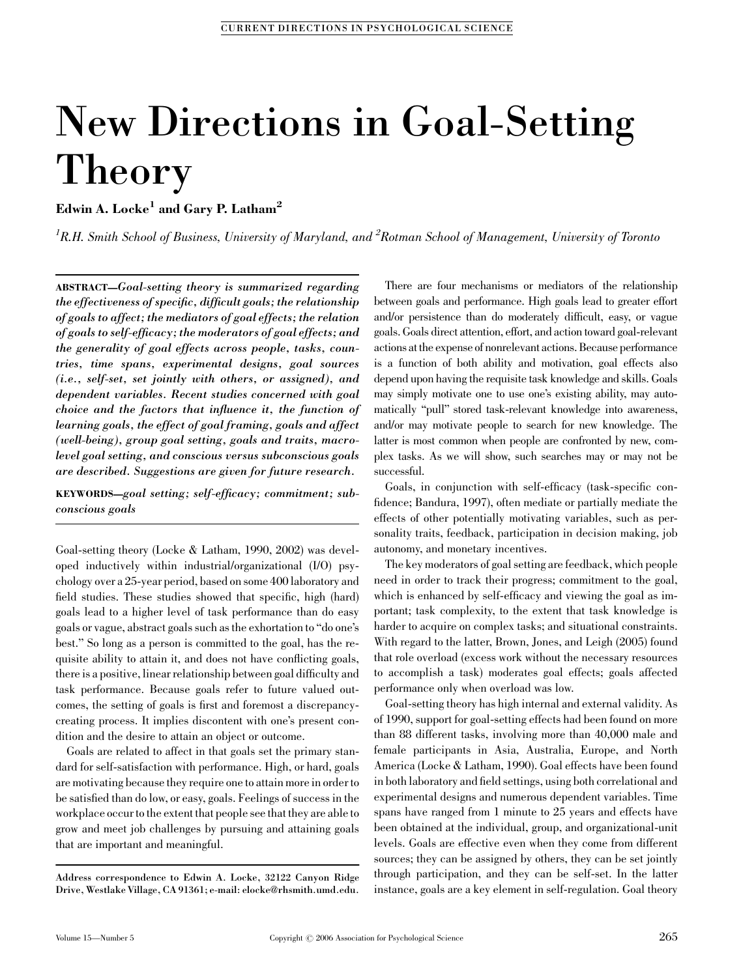# New Directions in Goal-Setting Theory

Edwin A. Locke<sup>1</sup> and Gary P. Latham<sup>2</sup>

 $^1$ R.H. Smith School of Business, University of Maryland, and  $^2$ Rotman School of Management, University of Toronto

ABSTRACT—Goal-setting theory is summarized regarding the effectiveness of specific, difficult goals; the relationship of goals to affect; the mediators of goal effects; the relation of goals to self-efficacy; the moderators of goal effects; and the generality of goal effects across people, tasks, countries, time spans, experimental designs, goal sources (i.e., self-set, set jointly with others, or assigned), and dependent variables. Recent studies concerned with goal choice and the factors that influence it, the function of learning goals, the effect of goal framing, goals and affect (well-being), group goal setting, goals and traits, macrolevel goal setting, and conscious versus subconscious goals are described. Suggestions are given for future research.

KEYWORDS—goal setting; self-efficacy; commitment; subconscious goals

Goal-setting theory (Locke & Latham, 1990, 2002) was developed inductively within industrial/organizational (I/O) psychology over a 25-year period, based on some 400 laboratory and field studies. These studies showed that specific, high (hard) goals lead to a higher level of task performance than do easy goals or vague, abstract goals such as the exhortation to ''do one's best.'' So long as a person is committed to the goal, has the requisite ability to attain it, and does not have conflicting goals, there is a positive, linear relationship between goal difficulty and task performance. Because goals refer to future valued outcomes, the setting of goals is first and foremost a discrepancycreating process. It implies discontent with one's present condition and the desire to attain an object or outcome.

Goals are related to affect in that goals set the primary standard for self-satisfaction with performance. High, or hard, goals are motivating because they require one to attain more in order to be satisfied than do low, or easy, goals. Feelings of success in the workplace occur to the extent that people see that they are able to grow and meet job challenges by pursuing and attaining goals that are important and meaningful.

Address correspondence to Edwin A. Locke, 32122 Canyon Ridge Drive, Westlake Village, CA 91361; e-mail: elocke@rhsmith.umd.edu.

There are four mechanisms or mediators of the relationship between goals and performance. High goals lead to greater effort and/or persistence than do moderately difficult, easy, or vague goals. Goals direct attention, effort, and action toward goal-relevant actions atthe expense of nonrelevant actions. Because performance is a function of both ability and motivation, goal effects also depend upon having the requisite task knowledge and skills. Goals may simply motivate one to use one's existing ability, may automatically "pull" stored task-relevant knowledge into awareness, and/or may motivate people to search for new knowledge. The latter is most common when people are confronted by new, complex tasks. As we will show, such searches may or may not be successful.

Goals, in conjunction with self-efficacy (task-specific confidence; Bandura, 1997), often mediate or partially mediate the effects of other potentially motivating variables, such as personality traits, feedback, participation in decision making, job autonomy, and monetary incentives.

The key moderators of goal setting are feedback, which people need in order to track their progress; commitment to the goal, which is enhanced by self-efficacy and viewing the goal as important; task complexity, to the extent that task knowledge is harder to acquire on complex tasks; and situational constraints. With regard to the latter, Brown, Jones, and Leigh (2005) found that role overload (excess work without the necessary resources to accomplish a task) moderates goal effects; goals affected performance only when overload was low.

Goal-setting theory has high internal and external validity. As of 1990, support for goal-setting effects had been found on more than 88 different tasks, involving more than 40,000 male and female participants in Asia, Australia, Europe, and North America (Locke & Latham, 1990). Goal effects have been found in both laboratory and field settings, using both correlational and experimental designs and numerous dependent variables. Time spans have ranged from 1 minute to 25 years and effects have been obtained at the individual, group, and organizational-unit levels. Goals are effective even when they come from different sources; they can be assigned by others, they can be set jointly through participation, and they can be self-set. In the latter instance, goals are a key element in self-regulation. Goal theory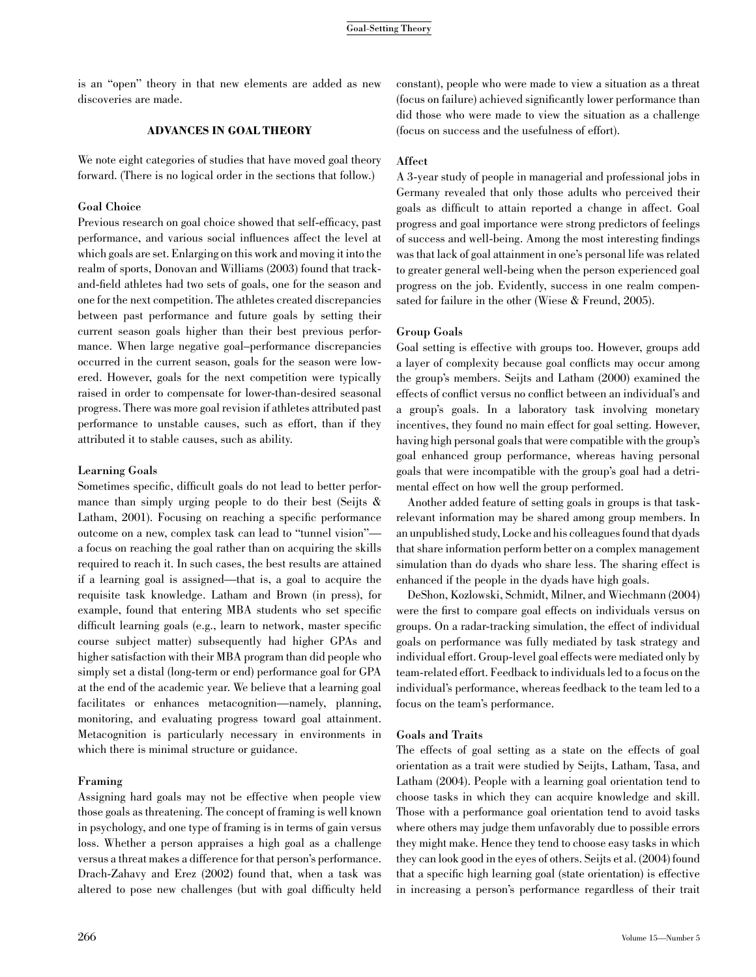is an ''open'' theory in that new elements are added as new discoveries are made.

# ADVANCES IN GOAL THEORY

We note eight categories of studies that have moved goal theory forward. (There is no logical order in the sections that follow.)

## Goal Choice

Previous research on goal choice showed that self-efficacy, past performance, and various social influences affect the level at which goals are set. Enlarging on this work and moving it into the realm of sports, Donovan and Williams (2003) found that trackand-field athletes had two sets of goals, one for the season and one for the next competition. The athletes created discrepancies between past performance and future goals by setting their current season goals higher than their best previous performance. When large negative goal–performance discrepancies occurred in the current season, goals for the season were lowered. However, goals for the next competition were typically raised in order to compensate for lower-than-desired seasonal progress. There was more goal revision if athletes attributed past performance to unstable causes, such as effort, than if they attributed it to stable causes, such as ability.

## Learning Goals

Sometimes specific, difficult goals do not lead to better performance than simply urging people to do their best (Seijts & Latham, 2001). Focusing on reaching a specific performance outcome on a new, complex task can lead to ''tunnel vision'' a focus on reaching the goal rather than on acquiring the skills required to reach it. In such cases, the best results are attained if a learning goal is assigned—that is, a goal to acquire the requisite task knowledge. Latham and Brown (in press), for example, found that entering MBA students who set specific difficult learning goals (e.g., learn to network, master specific course subject matter) subsequently had higher GPAs and higher satisfaction with their MBA program than did people who simply set a distal (long-term or end) performance goal for GPA at the end of the academic year. We believe that a learning goal facilitates or enhances metacognition—namely, planning, monitoring, and evaluating progress toward goal attainment. Metacognition is particularly necessary in environments in which there is minimal structure or guidance.

# Framing

Assigning hard goals may not be effective when people view those goals as threatening. The concept of framing is well known in psychology, and one type of framing is in terms of gain versus loss. Whether a person appraises a high goal as a challenge versus a threat makes a difference for that person's performance. Drach-Zahavy and Erez (2002) found that, when a task was altered to pose new challenges (but with goal difficulty held constant), people who were made to view a situation as a threat (focus on failure) achieved significantly lower performance than did those who were made to view the situation as a challenge (focus on success and the usefulness of effort).

# Affect

A 3-year study of people in managerial and professional jobs in Germany revealed that only those adults who perceived their goals as difficult to attain reported a change in affect. Goal progress and goal importance were strong predictors of feelings of success and well-being. Among the most interesting findings was that lack of goal attainment in one's personal life was related to greater general well-being when the person experienced goal progress on the job. Evidently, success in one realm compensated for failure in the other (Wiese & Freund, 2005).

## Group Goals

Goal setting is effective with groups too. However, groups add a layer of complexity because goal conflicts may occur among the group's members. Seijts and Latham (2000) examined the effects of conflict versus no conflict between an individual's and a group's goals. In a laboratory task involving monetary incentives, they found no main effect for goal setting. However, having high personal goals that were compatible with the group's goal enhanced group performance, whereas having personal goals that were incompatible with the group's goal had a detrimental effect on how well the group performed.

Another added feature of setting goals in groups is that taskrelevant information may be shared among group members. In an unpublished study, Locke and his colleagues found that dyads that share information perform better on a complex management simulation than do dyads who share less. The sharing effect is enhanced if the people in the dyads have high goals.

DeShon, Kozlowski, Schmidt, Milner, and Wiechmann (2004) were the first to compare goal effects on individuals versus on groups. On a radar-tracking simulation, the effect of individual goals on performance was fully mediated by task strategy and individual effort. Group-level goal effects were mediated only by team-related effort. Feedback to individuals led to a focus on the individual's performance, whereas feedback to the team led to a focus on the team's performance.

#### Goals and Traits

The effects of goal setting as a state on the effects of goal orientation as a trait were studied by Seijts, Latham, Tasa, and Latham (2004). People with a learning goal orientation tend to choose tasks in which they can acquire knowledge and skill. Those with a performance goal orientation tend to avoid tasks where others may judge them unfavorably due to possible errors they might make. Hence they tend to choose easy tasks in which they can look good in the eyes of others. Seijts et al. (2004) found that a specific high learning goal (state orientation) is effective in increasing a person's performance regardless of their trait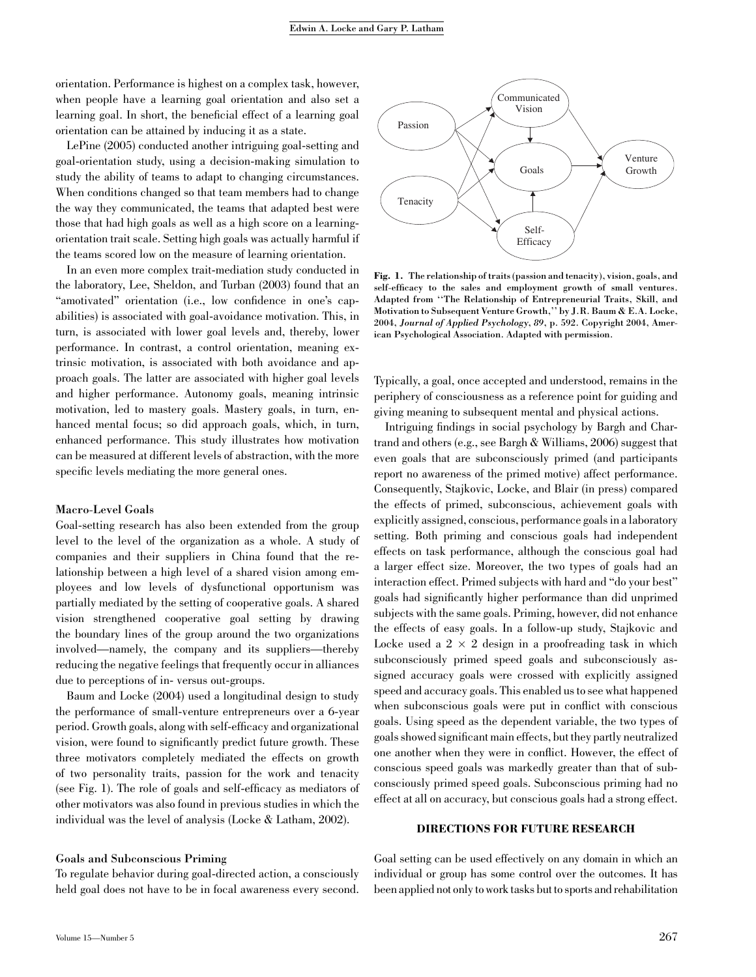orientation. Performance is highest on a complex task, however, when people have a learning goal orientation and also set a learning goal. In short, the beneficial effect of a learning goal orientation can be attained by inducing it as a state.

LePine (2005) conducted another intriguing goal-setting and goal-orientation study, using a decision-making simulation to study the ability of teams to adapt to changing circumstances. When conditions changed so that team members had to change the way they communicated, the teams that adapted best were those that had high goals as well as a high score on a learningorientation trait scale. Setting high goals was actually harmful if the teams scored low on the measure of learning orientation.

In an even more complex trait-mediation study conducted in the laboratory, Lee, Sheldon, and Turban (2003) found that an "amotivated" orientation (i.e., low confidence in one's capabilities) is associated with goal-avoidance motivation. This, in turn, is associated with lower goal levels and, thereby, lower performance. In contrast, a control orientation, meaning extrinsic motivation, is associated with both avoidance and approach goals. The latter are associated with higher goal levels and higher performance. Autonomy goals, meaning intrinsic motivation, led to mastery goals. Mastery goals, in turn, enhanced mental focus; so did approach goals, which, in turn, enhanced performance. This study illustrates how motivation can be measured at different levels of abstraction, with the more specific levels mediating the more general ones.

#### Macro-Level Goals

Goal-setting research has also been extended from the group level to the level of the organization as a whole. A study of companies and their suppliers in China found that the relationship between a high level of a shared vision among employees and low levels of dysfunctional opportunism was partially mediated by the setting of cooperative goals. A shared vision strengthened cooperative goal setting by drawing the boundary lines of the group around the two organizations involved—namely, the company and its suppliers—thereby reducing the negative feelings that frequently occur in alliances due to perceptions of in- versus out-groups.

Baum and Locke (2004) used a longitudinal design to study the performance of small-venture entrepreneurs over a 6-year period. Growth goals, along with self-efficacy and organizational vision, were found to significantly predict future growth. These three motivators completely mediated the effects on growth of two personality traits, passion for the work and tenacity (see Fig. 1). The role of goals and self-efficacy as mediators of other motivators was also found in previous studies in which the individual was the level of analysis (Locke & Latham, 2002).

#### Goals and Subconscious Priming

To regulate behavior during goal-directed action, a consciously held goal does not have to be in focal awareness every second.



Fig. 1. The relationship of traits (passion and tenacity), vision, goals, and self-efficacy to the sales and employment growth of small ventures. Adapted from ''The Relationship of Entrepreneurial Traits, Skill, and Motivation to Subsequent Venture Growth,'' by J.R. Baum & E.A. Locke, 2004, Journal of Applied Psychology, 89, p. 592. Copyright 2004, American Psychological Association. Adapted with permission.

Typically, a goal, once accepted and understood, remains in the periphery of consciousness as a reference point for guiding and giving meaning to subsequent mental and physical actions.

Intriguing findings in social psychology by Bargh and Chartrand and others (e.g., see Bargh & Williams, 2006) suggest that even goals that are subconsciously primed (and participants report no awareness of the primed motive) affect performance. Consequently, Stajkovic, Locke, and Blair (in press) compared the effects of primed, subconscious, achievement goals with explicitly assigned, conscious, performance goals in a laboratory setting. Both priming and conscious goals had independent effects on task performance, although the conscious goal had a larger effect size. Moreover, the two types of goals had an interaction effect. Primed subjects with hard and ''do your best'' goals had significantly higher performance than did unprimed subjects with the same goals. Priming, however, did not enhance the effects of easy goals. In a follow-up study, Stajkovic and Locke used a  $2 \times 2$  design in a proofreading task in which subconsciously primed speed goals and subconsciously assigned accuracy goals were crossed with explicitly assigned speed and accuracy goals. This enabled us to see what happened when subconscious goals were put in conflict with conscious goals. Using speed as the dependent variable, the two types of goals showed significant main effects, but they partly neutralized one another when they were in conflict. However, the effect of conscious speed goals was markedly greater than that of subconsciously primed speed goals. Subconscious priming had no effect at all on accuracy, but conscious goals had a strong effect.

# DIRECTIONS FOR FUTURE RESEARCH

Goal setting can be used effectively on any domain in which an individual or group has some control over the outcomes. It has been applied not only to work tasks but to sports and rehabilitation